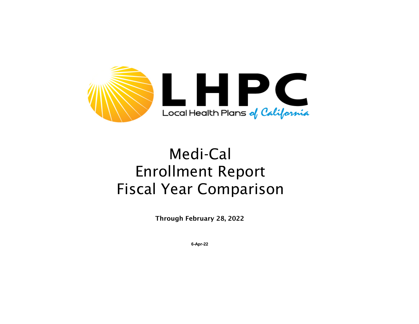

## Medi-Cal Enrollment Report Fiscal Year Comparison

Through February 28, 2022

**6-Apr-22**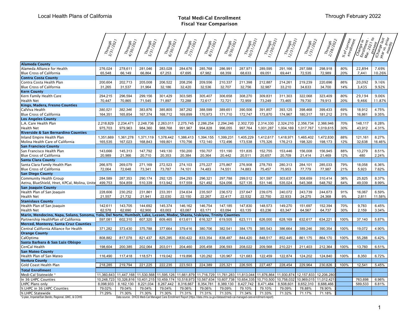## Total Medi-Cal Enrollment Fiscal Year Comparison

| Local Health Plans of California                                  |                      |                                                                                                    |                      |                      |                      |                      | <b>Total Medi-Cal Enrollment</b><br><b>Fiscal Year Comparison</b>                                                                    |                                            | Through February 2022 |                      |                                                                                                                          |                      |                                                                         |                          |                                     |
|-------------------------------------------------------------------|----------------------|----------------------------------------------------------------------------------------------------|----------------------|----------------------|----------------------|----------------------|--------------------------------------------------------------------------------------------------------------------------------------|--------------------------------------------|-----------------------|----------------------|--------------------------------------------------------------------------------------------------------------------------|----------------------|-------------------------------------------------------------------------|--------------------------|-------------------------------------|
|                                                                   | Through<br>3/31/2021 | Through<br>4/30/2011                                                                               | Through<br>5/31/2021 | Through<br>6/30/2011 | Through<br>7/31/2021 | Through<br>8/31/2021 | Through<br>9/30/2011                                                                                                                 | Through<br>10/31/201<br><sup>1/20</sup> 21 | Through<br>11/30/2021 | Through<br>12/31/20h | Through<br>1/31/2022                                                                                                     | Through<br>2/28/2011 | $^{8}$ of Current $^{e_{\mathit{nr} \mathit{r}} \mathit{r}}$ entollment | Change in the Control of | Change last<br>י פון איס.<br>האיפון |
| <b>Alameda County</b>                                             |                      |                                                                                                    |                      |                      |                      |                      |                                                                                                                                      |                                            |                       |                      |                                                                                                                          |                      |                                                                         |                          |                                     |
| Alameda Alliance for Health                                       | 276,024              | 278,611                                                                                            | 281,046              | 283,028              | 284,676              | 285,768              | 286,991                                                                                                                              | 287,971                                    | 289,595               | 291,166              | 297,588                                                                                                                  | 298,918              | 80%                                                                     | 22,894                   | 7.69%                               |
| <b>Blue Cross of California</b>                                   | 65,548               | 66,149                                                                                             | 66,864               | 67,253               | 67,695               | 67,982               | 68,359                                                                                                                               | 68,633                                     | 69,051                | 69,441               | 72,535                                                                                                                   | 72,989               | 20%                                                                     | 7,441                    | 10.26%                              |
| <b>Contra Costa County</b>                                        |                      |                                                                                                    |                      |                      |                      |                      |                                                                                                                                      |                                            |                       |                      |                                                                                                                          |                      |                                                                         |                          |                                     |
| Contra Costa Health Plan                                          | 200,604              | 202,713                                                                                            | 205,008              | 206,522              | 208,256              | 209,556              | 210,337                                                                                                                              | 211,398                                    | 212,887               | 214,261              | 219,239                                                                                                                  | 220,696              | 86%                                                                     | 20,092                   | 9.16%                               |
| <b>Blue Cross of California</b>                                   | 31,265               | 31,537                                                                                             | 31,964               | 32,186               | 32,420               | 32,536               | 32,707                                                                                                                               | 32,756                                     | 32,987                | 33,210               | 34,633                                                                                                                   | 34,700               | 14%                                                                     | 3,435                    | 9.92%                               |
| <b>Kern County</b>                                                |                      |                                                                                                    |                      |                      |                      |                      |                                                                                                                                      |                                            |                       |                      |                                                                                                                          |                      |                                                                         |                          |                                     |
| Kern Family Health Care                                           | 294,215              | 296,594                                                                                            | 299,156              | 301,429              | 303,585              | 305,407              | 306,658                                                                                                                              | 308,270                                    | 309,831               | 311,303              | 322,068                                                                                                                  | 323,409              | 80%                                                                     | 29,194                   | 9.06%                               |
| <b>Health Net</b>                                                 | 70,447               | 70,865                                                                                             | 71,545               | 71,897               | 72,288               | 72,617               | 72,721                                                                                                                               | 72,959                                     | 73,249                | 73,465               | 79,730                                                                                                                   | 79,913               | 20%                                                                     | 9,466                    | 11.87%                              |
| Kings, Madera, Fresno Counties                                    |                      |                                                                                                    |                      |                      |                      |                      |                                                                                                                                      |                                            |                       |                      |                                                                                                                          |                      |                                                                         |                          |                                     |
| CalViva Health                                                    | 380,521              | 382,346                                                                                            | 383,876              | 385,805              | 387,292              | 388,599              | 389,651                                                                                                                              | 390,506                                    | 391,857               | 393,125              | 398,468                                                                                                                  | 399,433              | 69%                                                                     | 18,912                   | 4.75%                               |
| <b>Blue Cross of California</b>                                   | 164,351              | 165,854                                                                                            | 167,374              | 168,712              | 169,899              | 170,973              | 171,710                                                                                                                              | 172,747                                    | 173,870               | 174,967              | 180,317                                                                                                                  | 181,212              | 31%                                                                     | 16,861                   | 9.35%                               |
| <b>Los Angeles County</b>                                         |                      |                                                                                                    |                      |                      |                      |                      |                                                                                                                                      |                                            |                       |                      |                                                                                                                          |                      |                                                                         |                          |                                     |
| L.A. Care Health Plan                                             | 2,218,829            | 2,234,471                                                                                          | 2,248,736            | 2,263,011            | 2,275,745            | 2,286,254            | 2,294,246                                                                                                                            | 2,302,720                                  | 2,314,330             | 2,324,210            | 2,356,734                                                                                                                | 2,366,946            | 70%                                                                     | 148,117                  | 6.28%                               |
| Health Net                                                        | 975,703              | 979,963                                                                                            | 984,360              | 988,768              | 991,967              | 994,828              | 996,055                                                                                                                              | 997,764                                    | 1,001,287             | 1,004,169            | 1,017,767                                                                                                                | 1,019,615            | 30%                                                                     | 43,912                   | 4.31%                               |
| Riverside & San Bernardino Counties                               |                      |                                                                                                    |                      |                      |                      |                      |                                                                                                                                      |                                            |                       |                      |                                                                                                                          |                      |                                                                         |                          |                                     |
| Inland Empire Health Plan                                         | 1,351,669            | 1,361,278                                                                                          | 1,371,119            | 1,378,442            | 1,386,413            | 1,394,155            | 1,399,231                                                                                                                            | 1,405,229                                  | 1,412,617             | 1,418,971            | 1,465,402                                                                                                                | 1,472,830            | 88%                                                                     | 121,161                  | 8.27%                               |
| Molina Health Care of California                                  | 165,535              | 167,023                                                                                            | 168,843              | 169,801              | 170,756              | 172,140              | 172,496                                                                                                                              | 173,538                                    | 175,326               | 176,213              | 198,320                                                                                                                  | 198,173              | 12%                                                                     | 32,638                   | 16.46%                              |
| <b>San Francisco County</b>                                       |                      |                                                                                                    |                      |                      |                      |                      |                                                                                                                                      |                                            |                       |                      |                                                                                                                          |                      |                                                                         |                          |                                     |
| San Francisco Health Plan                                         | 143,666              | 145,313                                                                                            | 147,792              | 149,130              | 150,200              | 150,707              | 151,190                                                                                                                              | 151,835                                    | 152,755               | 153,446              | 156,008                                                                                                                  | 156,945              | 88%                                                                     | 13,279                   | 8.51%                               |
| <b>Blue Cross of California</b>                                   | 20,989               | 21,366                                                                                             | 20,710               | 20,353               | 20,384               | 20,364               | 20,442                                                                                                                               | 20,511                                     | 20,657                | 20,709               | 21,414                                                                                                                   | 21,469               | 12%                                                                     | 480                      | 2.24%                               |
| <b>Santa Clara County</b>                                         |                      | 269,079                                                                                            |                      |                      | 274,103              | 275,227              | 275,867                                                                                                                              | 276,908                                    | 278,793               | 280,313              | 284,101                                                                                                                  | 285,033              | 79%                                                                     | 18,058                   | 6.36%                               |
| Santa Clara Family Health Plan<br><b>Blue Cross of California</b> | 266,975<br>72,064    | 72,648                                                                                             | 271,169<br>73,341    | 272,523<br>73,787    | 74,101               | 74,483               | 74,551                                                                                                                               | 74,883                                     | 75,457                | 75,953               | 77,779                                                                                                                   | 77,987               | 21%                                                                     | 5,923                    | 7.62%                               |
| <b>San Diego County</b>                                           |                      |                                                                                                    |                      |                      |                      |                      |                                                                                                                                      |                                            |                       |                      |                                                                                                                          |                      |                                                                         |                          |                                     |
| <b>Community Health Group</b>                                     | 284,589              | 287,353                                                                                            | 290,174              | 292,125              | 294,293              | 296,321              | 297,788                                                                                                                              | 299,512                                    | 301,597               | 303,637              | 308,659                                                                                                                  | 310,414              | 36%                                                                     | 25,825                   | 8.37%                               |
| Aetna, BlueShield, Hnet, KPCal, Molina, Unite                     | 499,753              | 504,859                                                                                            | 510,339              | 513,942              | 517,559              | 521,492              | 524,056                                                                                                                              | 527,135                                    | 531,146               | 535,024              | 545,368                                                                                                                  | 548,792              | 64%                                                                     | 49,039                   | 8.99%                               |
| <b>San Joaquin County</b>                                         |                      |                                                                                                    |                      |                      |                      |                      |                                                                                                                                      |                                            |                       |                      |                                                                                                                          |                      |                                                                         |                          |                                     |
| Health Plan of San Joaquin                                        | 228,606              | 230,252                                                                                            | 231,861              | 233,351              | 234,634              | 235,507              | 236,572                                                                                                                              | 237,647                                    | 239,075               | 240,072              | 243,739                                                                                                                  | 244,673              | 91%                                                                     | 16,067                   | 6.59%                               |
| Health Net                                                        | 21,557               | 21,732                                                                                             | 21,941               | 22,030               | 22,150               | 22,267               | 22,417                                                                                                                               | 22,532                                     | 22,750                | 22,933               | 24,275                                                                                                                   | 24,368               | 9%                                                                      | 2,811                    | 11.58%                              |
| <b>Stanislaus County</b>                                          |                      |                                                                                                    |                      |                      |                      |                      |                                                                                                                                      |                                            |                       |                      |                                                                                                                          |                      |                                                                         |                          |                                     |
| Health Plan of San Joaquin                                        | 142,611              | 143,705                                                                                            | 144,692              | 145,374              | 146,162              | 146,754              | 147,185                                                                                                                              | 147,830                                    | 148,573               | 149,270              | 151,697                                                                                                                  | 152,394              | 70%                                                                     | 9,783                    | 6.45%                               |
| <b>Health Net</b>                                                 | 62,578               | 62,690                                                                                             | 62,900               | 63,003               | 63,087               | 63,171               | 63,094                                                                                                                               | 63,135                                     | 63,236                | 63,347               | 64,567                                                                                                                   | 64,737               | 30%                                                                     | 2,159                    | 3.34%                               |
| Marin, Mendocino, Napa, Solano, Sonoma,                           |                      | Yolo, Del Norte, Humbolt, Lake, Lassen, Modoc, Shasta, Siskiyou, Trinity Counties                  |                      |                      |                      |                      |                                                                                                                                      |                                            |                       |                      |                                                                                                                          |                      |                                                                         |                          |                                     |
| Partnership HealthPlan of California                              | 597,081              | 602,310                                                                                            | 607,320              | 609,465              | 613,611              | 616,327              | 619,505                                                                                                                              | 623,111                                    | 626,000               | 628,169              | 632,617                                                                                                                  | 634,221              | 100%                                                                    | 37,140                   | 5.87%                               |
| Merced, Monterey, Santa Cruz Counties                             |                      |                                                                                                    |                      |                      |                      |                      |                                                                                                                                      |                                            |                       |                      |                                                                                                                          |                      |                                                                         |                          |                                     |
| Central California Alliance for Health                            | 371,282              | 373,430                                                                                            | 375,788              | 377,664              | 379,416              | 380,706              | 382,541                                                                                                                              | 384,175                                    | 385,543               | 386,664              | 389,246                                                                                                                  | 390,354              | 100%                                                                    | 19,072                   | 4.90%                               |
| <b>Orange County</b>                                              |                      |                                                                                                    |                      |                      |                      |                      |                                                                                                                                      |                                            |                       |                      |                                                                                                                          |                      |                                                                         |                          |                                     |
| CalOptima                                                         | 808,882              | 817,078                                                                                            | 821,437              | 825,285              | 830,422              | 833,354              | 838,487                                                                                                                              | 844,420                                    | 848,517               | 852,445              | 861,175                                                                                                                  | 864,170              | 100%                                                                    | 55,288                   | 6.42%                               |
| Santa Barbara & San Luis Obispo                                   |                      |                                                                                                    |                      |                      |                      |                      |                                                                                                                                      |                                            |                       |                      |                                                                                                                          |                      |                                                                         |                          |                                     |
| CenCal Health                                                     | 198,604              | 200,385                                                                                            | 202,064              | 203,011              | 204,460              | 205,458              | 206,593                                                                                                                              | 208,022                                    | 209,568               | 210,221              | 211,403                                                                                                                  | 212,364              | 100%                                                                    | 13,760                   | 6.51%                               |
| <b>San Mateo County</b>                                           |                      |                                                                                                    |                      |                      |                      |                      |                                                                                                                                      |                                            |                       |                      |                                                                                                                          |                      |                                                                         |                          |                                     |
| Health Plan of San Mateo                                          | 116,490              | 117,418                                                                                            | 118,571              | 119,042              | 119,896              | 120,292              | 120,967                                                                                                                              | 121,683                                    | 122,459               | 122,874              | 124,202                                                                                                                  | 124,840              | 100%                                                                    | 8,350                    | 6.72%                               |
| <b>Ventura County</b>                                             |                      |                                                                                                    |                      |                      |                      |                      |                                                                                                                                      |                                            |                       |                      |                                                                                                                          |                      |                                                                         |                          |                                     |
| Gold Coast Health Plan                                            | 218,285              | 219,794                                                                                            | 221,225              | 222,235              | 223,503              | 224,389              | 225,321                                                                                                                              | 226,505                                    | 227,487               | 228,454              | 229,964                                                                                                                  | 230,826              | 100%                                                                    | 12,541                   | 5.45%                               |
| <b>Total Enrollment</b>                                           |                      |                                                                                                    |                      |                      |                      |                      |                                                                                                                                      |                                            |                       |                      |                                                                                                                          |                      |                                                                         |                          |                                     |
| Medi-Cal Statewide *                                              |                      | 11,360,643 11,447,168 11,530,568 11,595,126 11,661,879 11,716,729 11,761,283 11,813,044 11,876,864 |                      |                      |                      |                      |                                                                                                                                      |                                            |                       |                      | 11,930,874 12,157,833 12,206,280                                                                                         |                      |                                                                         |                          |                                     |
| In 36 LHPC Counties                                               | 10.248.723           |                                                                                                    |                      |                      |                      |                      |                                                                                                                                      |                                            |                       |                      | 10,326,816 10,401,215 10,459,174 10,518,973 10,567,634 10,607,738 10,654,335 10,710,500 10,758,032 10,969,015 11,012,421 |                      |                                                                         | 763,698                  | 6.96%                               |
| LHPC Plans only                                                   | 8,098,933            |                                                                                                    | 8,162,130 8,221,034  | 8,267,442            | 8,316,667            | 8,354,781            | 8,389,130 8,427,742                                                                                                                  |                                            | 8,471,484             | 8,508,601            | 8,652,310                                                                                                                | 8,688,466            |                                                                         | 589,533                  | 6.81%                               |
| % LHPC in 36 LHPC Counties                                        | 79.02%               | 79.04%                                                                                             | 79.04%               | 79.04%               | 79.06%               | 79.06%               | 79.09%                                                                                                                               | 79.10%                                     | 79.10%                | 79.09%               | 78.88%                                                                                                                   | 78.90%               |                                                                         |                          |                                     |
| % LHPC Statewide                                                  | 71.29%               | 71.30%                                                                                             | 71.30%               | 71.30%               | 71.31%               | 71.31%               | 71.33%                                                                                                                               | 71.34%                                     | 71.33%                | 71.32%               | 71.17%                                                                                                                   | 71.18%               |                                                                         |                          |                                     |
| *2-plan, Imperial/San Benito, Regional, GMC, & COHS               |                      |                                                                                                    |                      |                      |                      |                      | Data source: DHCS Medi-Cal Managed Care Enrollment Report (https://data.chhs.ca.gov/dataset/medi-cal-managed-care-enrollment-report) |                                            |                       |                      |                                                                                                                          |                      |                                                                         |                          |                                     |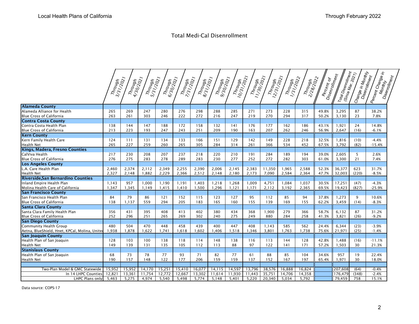|                                                |                      |                     |                      |                    |                     |                     | <b>Total Medi-Cal Disenrollment</b> |                                                                                                          |                       |                       |                      |                      |                            |                                                        |                                        |                                              |
|------------------------------------------------|----------------------|---------------------|----------------------|--------------------|---------------------|---------------------|-------------------------------------|----------------------------------------------------------------------------------------------------------|-----------------------|-----------------------|----------------------|----------------------|----------------------------|--------------------------------------------------------|----------------------------------------|----------------------------------------------|
|                                                |                      |                     |                      |                    |                     |                     |                                     |                                                                                                          |                       |                       |                      |                      |                            |                                                        |                                        |                                              |
|                                                | Through<br>3/31/2021 | Through<br>4/30/20h | Through<br>5/31/2021 | Through<br>6/30/9h | Through<br>7/31/20h | Through<br>8/31/20h | Through<br>9/30/30/<br>9/30/2021    | $\begin{array}{l} \eta_{h} \eta_{g} \eta_{h} \ \eta_{g} \eta_{g} \eta_{g} \eta_{g} \eta_{g} \end{array}$ | Through<br>11/30/2011 | Through<br>12/31/2021 | Through<br>1/31/2021 | Through<br>2/28/2011 | Percent of<br>Disenroiment | Total Disempline<br>  <sup>(Since Mar, 2021)</sup><br> | Change in Monthy  <br>  Disemolinenthy | Rercent Change in T<br>Monthly<br>Disemaling |
| <b>Alameda County</b>                          |                      |                     |                      |                    |                     |                     |                                     |                                                                                                          |                       |                       |                      |                      |                            |                                                        |                                        |                                              |
| Alameda Alliance for Health                    | 265                  | 269                 | 247                  | 280                | 276                 | 298                 | 288                                 | 285                                                                                                      | 271                   | 273                   | 228                  | 315                  | 49.8%                      | 3,295                                                  | 87                                     | 38.2%                                        |
| Blue Cross of California                       | 263                  | 261                 | 303                  | 246                | 222                 | 272                 | 216                                 | 247                                                                                                      | 219                   | 270                   | 294                  | 317                  | 50.2%                      | 3,130                                                  | 23                                     | 7.8%                                         |
| <b>Contra Costa County</b>                     |                      |                     |                      |                    |                     |                     |                                     |                                                                                                          |                       |                       |                      |                      |                            |                                                        |                                        |                                              |
| Contra Costa Health Plan                       | 138                  | 144                 | 147                  | 188                | 172                 | 158                 | 132                                 | 141                                                                                                      | 176                   | 177                   | 162                  | 186                  | 43.1%                      | 1,921                                                  | 24                                     | 14.8%                                        |
| <b>Blue Cross of California</b>                | 213                  | 223                 | 193                  | 247                | 243                 | 251                 | 209                                 | 190                                                                                                      | 163                   | 207                   | 262                  | 246                  | 56.9%                      | 2,647                                                  | (16)                                   | $-6.1%$                                      |
| <b>Kern County</b>                             |                      |                     |                      |                    |                     |                     |                                     |                                                                                                          |                       |                       |                      |                      |                            |                                                        |                                        |                                              |
| Kern Family Health Care                        | 124                  | 111                 | 131                  | 134                | 133                 | 166                 | 151                                 | 129                                                                                                      | 142                   | 149                   | 228                  | 218                  | 32.5%                      | 1,816                                                  | (10)                                   | $-4.4%$                                      |
| Health Net                                     | 265                  | 227                 | 259                  | 260                | 265                 | 305                 | 284                                 | 314                                                                                                      | 261                   | 366                   | 534                  | 452                  | 67.5%                      | 3,792                                                  | (82)                                   | $-15.4%$                                     |
| Kings, Madera, Fresno Counties                 |                      |                     |                      |                    |                     |                     |                                     |                                                                                                          |                       |                       |                      |                      |                            |                                                        |                                        |                                              |
| CalViva Health                                 | 217                  | 230                 | 208                  | 207                | 237                 | 218                 | 220                                 | 210                                                                                                      | 191                   | 284                   | 189                  | 194                  | 39.0%                      | 2,605                                                  | 5                                      | 2.6%                                         |
| Blue Cross of California                       | 276                  | 275                 | 283                  | 278                | 289                 | 283                 | 230                                 | 277                                                                                                      | 252                   | 272                   | 282                  | 303                  | 61.0%                      | 3,300                                                  | 21                                     | 7.4%                                         |
| <b>Los Angeles County</b>                      |                      |                     |                      |                    |                     |                     |                                     |                                                                                                          |                       |                       |                      |                      |                            |                                                        |                                        |                                              |
| L.A. Care Health Plan                          | 2,460                | 2,374               | 2,112                | 2,349              | 2,255               | 2,390               | 2,006                               | 2,145                                                                                                    | 2,383                 | 11,350                | 1,965                | 2,588                | 52.3%                      | 36,377                                                 | 623                                    | 31.7%                                        |
| Health Net                                     | 2,327                | 2,148               | 1,882                | 2,229              | 2,366               | 2,512               | 2,148                               | 2,180                                                                                                    | 2,173                 | 7,090                 | 2,584                | 2,364                | 47.7%                      | 32,003                                                 | (220)                                  | $-8.5%$                                      |
| Riverside, San Bernardino Counties             |                      |                     |                      |                    |                     |                     |                                     |                                                                                                          |                       |                       |                      |                      |                            |                                                        |                                        |                                              |
| Inland Empire Health Plan                      | 1,143                | 957                 | 1,000                | 1,190              | 1,191               | 1,403               | 1,218                               | 1,268                                                                                                    | 1,009                 | 4,751                 | 1,084                | 1,037                | 30.5%                      | 17,251                                                 | (47)                                   | $-4.3%$                                      |
| Molina Health Care of California               | 1,347                | 1,345               | 1,149                | 1,415              | 1,410               | 1,500               | 1,296                               | 1,121                                                                                                    | 1,171                 | 2,112                 | 3,192                | 2,365                | 69.5%                      | 19,423                                                 | (827)                                  | $-25.9%$                                     |
| San Francisco County                           |                      |                     |                      |                    |                     |                     |                                     |                                                                                                          |                       |                       |                      |                      |                            |                                                        |                                        |                                              |
|                                                | 84                   | 79                  | 86                   | 121                |                     | 115                 | 123                                 | 127                                                                                                      | 95                    | 112                   | 85                   | 94                   | 37.8%                      | 1,273                                                  | 9                                      |                                              |
| San Francisco Health Plan                      |                      |                     |                      |                    | 152                 |                     |                                     |                                                                                                          |                       |                       |                      |                      |                            |                                                        |                                        | 10.6%                                        |
| Blue Cross of California                       | 138                  | 1,137               | 559                  | 294                | 205                 | 183                 | 165                                 | 160                                                                                                      | 155                   | 139                   | 169                  | 155                  | 62.2%                      | 3,459                                                  | (14)                                   | $-8.3%$                                      |
| Santa Clara County                             |                      | 431                 | 395                  |                    | 413                 | 402                 |                                     |                                                                                                          | 368                   | 1,900                 | 279                  |                      |                            | 6,132                                                  | 87                                     |                                              |
| Santa Clara Family Health Plan                 | 356                  |                     |                      | 408                |                     |                     | 380                                 | 434                                                                                                      |                       |                       |                      | 366                  | 58.7%                      |                                                        |                                        | 31.2%                                        |
| Blue Cross of California                       | 252                  | 296                 | 251                  | 265                | 269                 | 302                 | 240                                 | 275                                                                                                      | 249                   | 880                   | 284                  | 258                  | 41.3%                      | 3,821                                                  | (26)                                   | $-9.2%$                                      |
| <b>San Diego County</b>                        |                      |                     |                      |                    |                     |                     |                                     |                                                                                                          |                       |                       |                      |                      |                            |                                                        |                                        |                                              |
| Community Health Group                         | 480                  | 504                 | 470                  | 448                | 458                 | 439                 | 400                                 | 447                                                                                                      | 408                   | 1,143                 | 585                  | 562                  | 24.4%                      | 6,344                                                  | (23)                                   | $-3.9%$                                      |
| Aetna, BlueShield, Hnet, KPCal, Molina, Uniter | 1,938                | 1,878               | 1,622                | 1,741              | 1,618               | 1,602               | 1,406                               | 1,518                                                                                                    | 1,346                 | 3,801                 | 1,763                | 1,738                | 75.6%                      | 21,971                                                 | (25)                                   | $-1.4%$                                      |
| <b>San Joaquin County</b>                      |                      |                     |                      |                    |                     |                     |                                     |                                                                                                          |                       |                       |                      |                      |                            |                                                        |                                        |                                              |
| Health Plan of San Joaquin                     | 128                  | 103                 | 100                  | 138                | 118                 | 114                 | 148                                 | 138                                                                                                      | 116                   | 113                   | 144                  | 128                  | 42.8%                      | 1,488                                                  | (16)                                   | $-11.1%$                                     |
| Health Net                                     | 149                  | 139                 | 131                  | 135                | 105                 | 112                 | 113                                 | 88                                                                                                       | 97                    | 122                   | 141                  | 171                  | 57.2%                      | 1,503                                                  | 30                                     | 21.3%                                        |
| <b>Stanislaus County</b>                       |                      |                     |                      |                    |                     |                     |                                     |                                                                                                          |                       |                       |                      |                      |                            |                                                        |                                        |                                              |
| Health Plan of San Joaquin                     | 68                   | 73                  | 78                   | 77                 | 93                  | 71                  | 82                                  | 77                                                                                                       | 61                    | 88                    | 85                   | 104                  | 34.6%                      | 957                                                    | 19                                     | 22.4%                                        |
| Health Net                                     | 190                  | 157                 | 148                  | 122                | 177                 | 206                 | 159                                 | 159                                                                                                      | 137                   | 152                   | 167                  | 197                  | 65.4%                      | 1,971                                                  | 30                                     | 18.0%                                        |
|                                                |                      |                     |                      |                    |                     |                     |                                     |                                                                                                          |                       |                       |                      |                      |                            |                                                        |                                        |                                              |
|                                                | 15,952               | 15,952              | 14,170               | 15,251             | 15,410              | 16,077              | 14,115                              | 14,597                                                                                                   | 13,796                | 38,576                | 16,888               | 16,824               |                            | 207,608                                                | (64)                                   | $-0.4%$                                      |
| Two-Plan Model & GMC Statewide                 |                      |                     |                      |                    |                     | 13,302              | 11,614                              | 11,930                                                                                                   | 11,443                | 35,751                | 14,706               | 14,358               |                            | 176,479                                                | (348)                                  | $-2.4%$                                      |
| In 14 LHPC Counties<br>LHPC Plans only         | 12,821<br>5,463      | 13,361<br>5,275     | 11,754<br>4,974      | 12,772<br>5,540    | 12,667<br>5,498     | 5,774               | 5,148                               | 5,401                                                                                                    | 5,220                 | 20,340                | 5,034                | 5,792                |                            | 79,459                                                 | 758                                    | 15.1%                                        |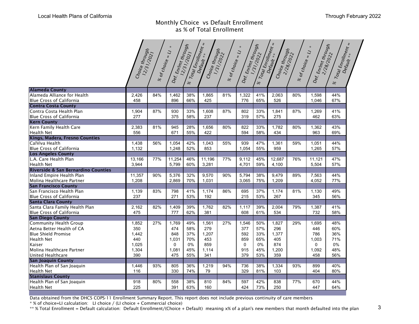## Monthly Choice vs Default Enrollment as % of Total Enrollment

| Def. Entimt through<br>$\overline{u}$<br>$\frac{8}{6}$ of choice $\geq l$<br>1,462<br>896<br>930<br>375<br>945 | Total Enrolment<br>38%<br>1,865<br>66%<br>425<br>33%<br>1,608<br>58%<br>237 | Choice through<br>$\frac{8}{6}$ of $Cho_i$ $\epsilon$ $\epsilon$ $\approx$ $U$<br>81% | Def. Emlmt through<br>1,322 |                          | Total Enrolment<br>Choice through | % of choice .              | Def. Enrimt through<br>$\overline{v}$                                                   | Total Entrollment                                                                                                                                           |                          |
|----------------------------------------------------------------------------------------------------------------|-----------------------------------------------------------------------------|---------------------------------------------------------------------------------------|-----------------------------|--------------------------|-----------------------------------|----------------------------|-----------------------------------------------------------------------------------------|-------------------------------------------------------------------------------------------------------------------------------------------------------------|--------------------------|
|                                                                                                                |                                                                             |                                                                                       |                             |                          |                                   |                            |                                                                                         |                                                                                                                                                             |                          |
|                                                                                                                |                                                                             |                                                                                       |                             |                          |                                   |                            |                                                                                         |                                                                                                                                                             |                          |
|                                                                                                                |                                                                             |                                                                                       |                             | 41%                      | 2,063                             | 80%                        | 1,598                                                                                   | 44%                                                                                                                                                         |                          |
|                                                                                                                |                                                                             |                                                                                       | 776                         | 65%                      | 526                               |                            | 1,046                                                                                   | 67%                                                                                                                                                         |                          |
|                                                                                                                |                                                                             |                                                                                       |                             |                          |                                   |                            |                                                                                         |                                                                                                                                                             |                          |
|                                                                                                                |                                                                             | 87%                                                                                   | 802                         | 33%                      | 1,841                             | 87%                        | 1,269                                                                                   | 41%                                                                                                                                                         |                          |
|                                                                                                                |                                                                             |                                                                                       | 319                         | 57%                      | 275                               |                            | 462                                                                                     | 63%                                                                                                                                                         |                          |
|                                                                                                                |                                                                             |                                                                                       |                             |                          |                                   |                            |                                                                                         |                                                                                                                                                             |                          |
|                                                                                                                | 28%<br>1,656                                                                | 80%                                                                                   | 822                         | 33%                      | 1,782                             | 80%                        | 1,362                                                                                   | 43%                                                                                                                                                         |                          |
| 671                                                                                                            | 55%<br>422                                                                  |                                                                                       | 594                         | 58%                      | 434                               |                            | 963                                                                                     | 69%                                                                                                                                                         |                          |
|                                                                                                                |                                                                             |                                                                                       |                             |                          |                                   |                            |                                                                                         |                                                                                                                                                             |                          |
| 1,054                                                                                                          | 42%<br>1,043                                                                | 55%                                                                                   | 939                         | 47%                      | 1,361                             | 59%                        | 1,051                                                                                   | 44%                                                                                                                                                         |                          |
| 1,248                                                                                                          | 853<br>52%                                                                  |                                                                                       | 1,054                       | 55%                      | 959                               |                            | 1,265                                                                                   | 57%                                                                                                                                                         |                          |
|                                                                                                                |                                                                             |                                                                                       |                             |                          |                                   |                            |                                                                                         |                                                                                                                                                             |                          |
| 11,254                                                                                                         | 46%<br>11,196                                                               | 77%                                                                                   | 9,112                       | 45%                      | 12,687                            | 76%                        | 11,121                                                                                  | 47%                                                                                                                                                         |                          |
| 5,799                                                                                                          | 3,281<br>60%                                                                |                                                                                       | 4,701                       | 59%                      | 4,100                             |                            | 5,504                                                                                   | 57%                                                                                                                                                         |                          |
|                                                                                                                |                                                                             |                                                                                       |                             |                          |                                   |                            |                                                                                         |                                                                                                                                                             |                          |
| 5,376                                                                                                          | 32%<br>9,570                                                                | 90%                                                                                   | 5,794                       | 38%                      | 9,479                             | 89%                        | 7,563                                                                                   | 44%                                                                                                                                                         |                          |
| 2,869                                                                                                          | 1,031<br>70%                                                                |                                                                                       | 3,065                       | 75%                      | 1,209                             |                            | 4,052                                                                                   | 77%                                                                                                                                                         |                          |
|                                                                                                                |                                                                             |                                                                                       |                             |                          |                                   |                            |                                                                                         |                                                                                                                                                             |                          |
| 798                                                                                                            | 41%<br>1,174                                                                | 86%                                                                                   | 695                         | 37%                      | 1,174                             | 81%                        | 1,130                                                                                   | 49%                                                                                                                                                         |                          |
| 271                                                                                                            | 192<br>53%                                                                  |                                                                                       | 215                         | 53%                      | 267                               |                            | 345                                                                                     | 56%                                                                                                                                                         |                          |
|                                                                                                                |                                                                             |                                                                                       |                             |                          |                                   |                            |                                                                                         |                                                                                                                                                             |                          |
| 1,409                                                                                                          | 39%<br>1,762                                                                | 82%                                                                                   | 1,117                       | 39%                      | 2,004                             | 79%                        | 1,387                                                                                   | 41%                                                                                                                                                         |                          |
| 777                                                                                                            | 381<br>62%                                                                  |                                                                                       | 608                         | 61%                      | 534                               |                            | 732                                                                                     | 58%                                                                                                                                                         |                          |
|                                                                                                                | 49%                                                                         | 27%                                                                                   |                             |                          |                                   | 29%                        |                                                                                         | 48%                                                                                                                                                         |                          |
| 1,769<br>474                                                                                                   | 1,561<br>279<br>58%                                                         |                                                                                       | 1,546<br>377                | 50%<br>57%               | 1,827<br>296                      |                            | 1,695<br>446                                                                            | 60%                                                                                                                                                         |                          |
| 848                                                                                                            | 37%<br>1,207                                                                |                                                                                       | 592                         | 33%                      | 1,377                             |                            | 786                                                                                     | 36%                                                                                                                                                         |                          |
|                                                                                                                | 70%                                                                         |                                                                                       | 859                         |                          |                                   |                            |                                                                                         | 71%                                                                                                                                                         |                          |
| 1,031                                                                                                          | 453<br>859<br>0%                                                            |                                                                                       |                             | 65%<br>0%                | 405<br>874                        |                            | 1,003<br>0                                                                              | 0%                                                                                                                                                          |                          |
| 0                                                                                                              | 45%                                                                         |                                                                                       | 0                           | 45%                      | 1,200                             |                            |                                                                                         |                                                                                                                                                             |                          |
| 1,081                                                                                                          | 1,114                                                                       |                                                                                       | 915                         |                          |                                   |                            | 1,092                                                                                   | 48%                                                                                                                                                         |                          |
| 475                                                                                                            | 55%<br>341                                                                  |                                                                                       | 379                         | 53%                      | 359                               |                            | 458                                                                                     | 56%                                                                                                                                                         |                          |
|                                                                                                                |                                                                             |                                                                                       |                             |                          |                                   |                            |                                                                                         |                                                                                                                                                             |                          |
|                                                                                                                |                                                                             |                                                                                       |                             |                          |                                   |                            |                                                                                         |                                                                                                                                                             |                          |
|                                                                                                                |                                                                             |                                                                                       |                             |                          |                                   |                            |                                                                                         |                                                                                                                                                             |                          |
|                                                                                                                |                                                                             |                                                                                       |                             |                          |                                   |                            |                                                                                         |                                                                                                                                                             |                          |
|                                                                                                                |                                                                             |                                                                                       |                             |                          |                                   |                            |                                                                                         |                                                                                                                                                             |                          |
|                                                                                                                |                                                                             |                                                                                       |                             |                          |                                   |                            |                                                                                         |                                                                                                                                                             |                          |
|                                                                                                                | 805<br>330<br>558<br>391                                                    | 36%<br>74%<br>79<br>38%<br>810<br>63%<br>160                                          | 1,219<br>94%<br>84%         | 736<br>329<br>597<br>424 | 38%<br>81%<br>42%<br>73%          | 1,334<br>103<br>838<br>250 | 93%<br>77%<br>* % of choice=LI calculation: LI choice / (LI choice + Commercial choice) | 899<br>404<br>670<br>447<br>Data obtained from the DHCS COPS-11 Enrollment Summary Report. This report does not include previous continuity of care members | 40%<br>80%<br>44%<br>64% |

\*\* % Total Enrollment = Default calculation: Default Enrollment/(Choice + Default) meaning x% of a plan's new members that month defaulted into the plan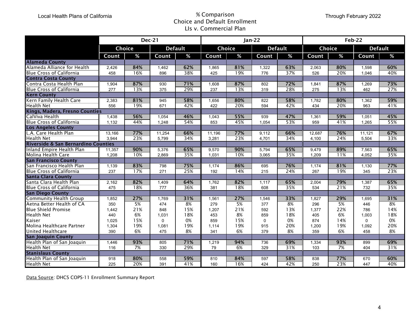## % Comparison Choice and Default Enrollment LIs v. Commercial Plan

|                                |                                                                                                                                                                                                                                                                 |                                                                                                                                                                                          |                                                                                                                                                                                                                             | <b>Choice and Default Enrollment</b><br>LIs v. Commercial Plan                                                                                                                                    |                                                                                                                                                                                                         |                                                                                                                                                                                          |                                                                                                                                                                                                                             |                                                                                                                                                                                                   |                                                                                                                                                                                                                 | Through February 2022                                                                                                                                                                           |                                                                                                                                                                                                                  |  |  |  |
|--------------------------------|-----------------------------------------------------------------------------------------------------------------------------------------------------------------------------------------------------------------------------------------------------------------|------------------------------------------------------------------------------------------------------------------------------------------------------------------------------------------|-----------------------------------------------------------------------------------------------------------------------------------------------------------------------------------------------------------------------------|---------------------------------------------------------------------------------------------------------------------------------------------------------------------------------------------------|---------------------------------------------------------------------------------------------------------------------------------------------------------------------------------------------------------|------------------------------------------------------------------------------------------------------------------------------------------------------------------------------------------|-----------------------------------------------------------------------------------------------------------------------------------------------------------------------------------------------------------------------------|---------------------------------------------------------------------------------------------------------------------------------------------------------------------------------------------------|-----------------------------------------------------------------------------------------------------------------------------------------------------------------------------------------------------------------|-------------------------------------------------------------------------------------------------------------------------------------------------------------------------------------------------|------------------------------------------------------------------------------------------------------------------------------------------------------------------------------------------------------------------|--|--|--|
|                                |                                                                                                                                                                                                                                                                 |                                                                                                                                                                                          |                                                                                                                                                                                                                             |                                                                                                                                                                                                   |                                                                                                                                                                                                         |                                                                                                                                                                                          |                                                                                                                                                                                                                             | Feb-22                                                                                                                                                                                            |                                                                                                                                                                                                                 |                                                                                                                                                                                                 |                                                                                                                                                                                                                  |  |  |  |
|                                |                                                                                                                                                                                                                                                                 |                                                                                                                                                                                          |                                                                                                                                                                                                                             |                                                                                                                                                                                                   |                                                                                                                                                                                                         |                                                                                                                                                                                          |                                                                                                                                                                                                                             |                                                                                                                                                                                                   |                                                                                                                                                                                                                 |                                                                                                                                                                                                 | <b>Default</b>                                                                                                                                                                                                   |  |  |  |
| Count                          | %                                                                                                                                                                                                                                                               | Count                                                                                                                                                                                    | %                                                                                                                                                                                                                           | Count                                                                                                                                                                                             | %                                                                                                                                                                                                       | Count                                                                                                                                                                                    | %                                                                                                                                                                                                                           | Count                                                                                                                                                                                             | %                                                                                                                                                                                                               | Count                                                                                                                                                                                           | %                                                                                                                                                                                                                |  |  |  |
|                                |                                                                                                                                                                                                                                                                 |                                                                                                                                                                                          |                                                                                                                                                                                                                             |                                                                                                                                                                                                   |                                                                                                                                                                                                         |                                                                                                                                                                                          |                                                                                                                                                                                                                             |                                                                                                                                                                                                   |                                                                                                                                                                                                                 |                                                                                                                                                                                                 |                                                                                                                                                                                                                  |  |  |  |
|                                |                                                                                                                                                                                                                                                                 |                                                                                                                                                                                          |                                                                                                                                                                                                                             |                                                                                                                                                                                                   |                                                                                                                                                                                                         |                                                                                                                                                                                          |                                                                                                                                                                                                                             |                                                                                                                                                                                                   |                                                                                                                                                                                                                 |                                                                                                                                                                                                 | 60%                                                                                                                                                                                                              |  |  |  |
| 458                            |                                                                                                                                                                                                                                                                 | 896                                                                                                                                                                                      |                                                                                                                                                                                                                             | 425                                                                                                                                                                                               |                                                                                                                                                                                                         |                                                                                                                                                                                          |                                                                                                                                                                                                                             |                                                                                                                                                                                                   |                                                                                                                                                                                                                 | 1,046                                                                                                                                                                                           | 40%                                                                                                                                                                                                              |  |  |  |
|                                |                                                                                                                                                                                                                                                                 |                                                                                                                                                                                          |                                                                                                                                                                                                                             |                                                                                                                                                                                                   |                                                                                                                                                                                                         |                                                                                                                                                                                          |                                                                                                                                                                                                                             |                                                                                                                                                                                                   |                                                                                                                                                                                                                 |                                                                                                                                                                                                 |                                                                                                                                                                                                                  |  |  |  |
|                                |                                                                                                                                                                                                                                                                 |                                                                                                                                                                                          |                                                                                                                                                                                                                             |                                                                                                                                                                                                   |                                                                                                                                                                                                         |                                                                                                                                                                                          |                                                                                                                                                                                                                             |                                                                                                                                                                                                   |                                                                                                                                                                                                                 |                                                                                                                                                                                                 | 73%                                                                                                                                                                                                              |  |  |  |
|                                |                                                                                                                                                                                                                                                                 |                                                                                                                                                                                          |                                                                                                                                                                                                                             |                                                                                                                                                                                                   |                                                                                                                                                                                                         |                                                                                                                                                                                          |                                                                                                                                                                                                                             |                                                                                                                                                                                                   |                                                                                                                                                                                                                 |                                                                                                                                                                                                 | 27%                                                                                                                                                                                                              |  |  |  |
|                                |                                                                                                                                                                                                                                                                 |                                                                                                                                                                                          |                                                                                                                                                                                                                             |                                                                                                                                                                                                   |                                                                                                                                                                                                         |                                                                                                                                                                                          |                                                                                                                                                                                                                             |                                                                                                                                                                                                   |                                                                                                                                                                                                                 |                                                                                                                                                                                                 |                                                                                                                                                                                                                  |  |  |  |
|                                |                                                                                                                                                                                                                                                                 |                                                                                                                                                                                          |                                                                                                                                                                                                                             |                                                                                                                                                                                                   |                                                                                                                                                                                                         |                                                                                                                                                                                          |                                                                                                                                                                                                                             |                                                                                                                                                                                                   |                                                                                                                                                                                                                 |                                                                                                                                                                                                 | 59%                                                                                                                                                                                                              |  |  |  |
|                                |                                                                                                                                                                                                                                                                 |                                                                                                                                                                                          |                                                                                                                                                                                                                             |                                                                                                                                                                                                   |                                                                                                                                                                                                         |                                                                                                                                                                                          |                                                                                                                                                                                                                             |                                                                                                                                                                                                   |                                                                                                                                                                                                                 |                                                                                                                                                                                                 | 41%                                                                                                                                                                                                              |  |  |  |
| Kings, Madera, Fresno Counties |                                                                                                                                                                                                                                                                 |                                                                                                                                                                                          |                                                                                                                                                                                                                             |                                                                                                                                                                                                   |                                                                                                                                                                                                         |                                                                                                                                                                                          |                                                                                                                                                                                                                             |                                                                                                                                                                                                   |                                                                                                                                                                                                                 |                                                                                                                                                                                                 |                                                                                                                                                                                                                  |  |  |  |
|                                |                                                                                                                                                                                                                                                                 |                                                                                                                                                                                          |                                                                                                                                                                                                                             |                                                                                                                                                                                                   |                                                                                                                                                                                                         |                                                                                                                                                                                          |                                                                                                                                                                                                                             |                                                                                                                                                                                                   |                                                                                                                                                                                                                 |                                                                                                                                                                                                 | 45%                                                                                                                                                                                                              |  |  |  |
|                                |                                                                                                                                                                                                                                                                 |                                                                                                                                                                                          |                                                                                                                                                                                                                             |                                                                                                                                                                                                   |                                                                                                                                                                                                         |                                                                                                                                                                                          |                                                                                                                                                                                                                             |                                                                                                                                                                                                   |                                                                                                                                                                                                                 |                                                                                                                                                                                                 | 55%                                                                                                                                                                                                              |  |  |  |
|                                |                                                                                                                                                                                                                                                                 |                                                                                                                                                                                          |                                                                                                                                                                                                                             |                                                                                                                                                                                                   |                                                                                                                                                                                                         |                                                                                                                                                                                          |                                                                                                                                                                                                                             |                                                                                                                                                                                                   |                                                                                                                                                                                                                 |                                                                                                                                                                                                 |                                                                                                                                                                                                                  |  |  |  |
|                                |                                                                                                                                                                                                                                                                 |                                                                                                                                                                                          |                                                                                                                                                                                                                             |                                                                                                                                                                                                   |                                                                                                                                                                                                         |                                                                                                                                                                                          |                                                                                                                                                                                                                             |                                                                                                                                                                                                   |                                                                                                                                                                                                                 |                                                                                                                                                                                                 | 67%                                                                                                                                                                                                              |  |  |  |
|                                |                                                                                                                                                                                                                                                                 |                                                                                                                                                                                          |                                                                                                                                                                                                                             |                                                                                                                                                                                                   |                                                                                                                                                                                                         |                                                                                                                                                                                          |                                                                                                                                                                                                                             |                                                                                                                                                                                                   |                                                                                                                                                                                                                 |                                                                                                                                                                                                 | 33%                                                                                                                                                                                                              |  |  |  |
|                                |                                                                                                                                                                                                                                                                 |                                                                                                                                                                                          |                                                                                                                                                                                                                             |                                                                                                                                                                                                   |                                                                                                                                                                                                         |                                                                                                                                                                                          |                                                                                                                                                                                                                             |                                                                                                                                                                                                   |                                                                                                                                                                                                                 |                                                                                                                                                                                                 |                                                                                                                                                                                                                  |  |  |  |
|                                |                                                                                                                                                                                                                                                                 |                                                                                                                                                                                          |                                                                                                                                                                                                                             |                                                                                                                                                                                                   |                                                                                                                                                                                                         |                                                                                                                                                                                          |                                                                                                                                                                                                                             |                                                                                                                                                                                                   |                                                                                                                                                                                                                 |                                                                                                                                                                                                 | 65%                                                                                                                                                                                                              |  |  |  |
|                                |                                                                                                                                                                                                                                                                 |                                                                                                                                                                                          |                                                                                                                                                                                                                             |                                                                                                                                                                                                   |                                                                                                                                                                                                         |                                                                                                                                                                                          |                                                                                                                                                                                                                             |                                                                                                                                                                                                   |                                                                                                                                                                                                                 |                                                                                                                                                                                                 | 35%                                                                                                                                                                                                              |  |  |  |
|                                |                                                                                                                                                                                                                                                                 |                                                                                                                                                                                          |                                                                                                                                                                                                                             |                                                                                                                                                                                                   |                                                                                                                                                                                                         |                                                                                                                                                                                          |                                                                                                                                                                                                                             |                                                                                                                                                                                                   |                                                                                                                                                                                                                 |                                                                                                                                                                                                 |                                                                                                                                                                                                                  |  |  |  |
|                                |                                                                                                                                                                                                                                                                 |                                                                                                                                                                                          |                                                                                                                                                                                                                             |                                                                                                                                                                                                   |                                                                                                                                                                                                         |                                                                                                                                                                                          |                                                                                                                                                                                                                             |                                                                                                                                                                                                   |                                                                                                                                                                                                                 |                                                                                                                                                                                                 | 77%                                                                                                                                                                                                              |  |  |  |
|                                |                                                                                                                                                                                                                                                                 |                                                                                                                                                                                          |                                                                                                                                                                                                                             |                                                                                                                                                                                                   |                                                                                                                                                                                                         |                                                                                                                                                                                          |                                                                                                                                                                                                                             |                                                                                                                                                                                                   |                                                                                                                                                                                                                 |                                                                                                                                                                                                 | 23%                                                                                                                                                                                                              |  |  |  |
|                                |                                                                                                                                                                                                                                                                 |                                                                                                                                                                                          |                                                                                                                                                                                                                             |                                                                                                                                                                                                   |                                                                                                                                                                                                         |                                                                                                                                                                                          |                                                                                                                                                                                                                             |                                                                                                                                                                                                   |                                                                                                                                                                                                                 |                                                                                                                                                                                                 |                                                                                                                                                                                                                  |  |  |  |
|                                |                                                                                                                                                                                                                                                                 |                                                                                                                                                                                          |                                                                                                                                                                                                                             |                                                                                                                                                                                                   |                                                                                                                                                                                                         |                                                                                                                                                                                          |                                                                                                                                                                                                                             |                                                                                                                                                                                                   |                                                                                                                                                                                                                 |                                                                                                                                                                                                 | 65%                                                                                                                                                                                                              |  |  |  |
|                                |                                                                                                                                                                                                                                                                 |                                                                                                                                                                                          |                                                                                                                                                                                                                             |                                                                                                                                                                                                   |                                                                                                                                                                                                         |                                                                                                                                                                                          |                                                                                                                                                                                                                             |                                                                                                                                                                                                   |                                                                                                                                                                                                                 |                                                                                                                                                                                                 | 35%                                                                                                                                                                                                              |  |  |  |
|                                |                                                                                                                                                                                                                                                                 |                                                                                                                                                                                          |                                                                                                                                                                                                                             |                                                                                                                                                                                                   |                                                                                                                                                                                                         |                                                                                                                                                                                          |                                                                                                                                                                                                                             |                                                                                                                                                                                                   |                                                                                                                                                                                                                 |                                                                                                                                                                                                 |                                                                                                                                                                                                                  |  |  |  |
|                                |                                                                                                                                                                                                                                                                 |                                                                                                                                                                                          |                                                                                                                                                                                                                             |                                                                                                                                                                                                   |                                                                                                                                                                                                         |                                                                                                                                                                                          |                                                                                                                                                                                                                             |                                                                                                                                                                                                   |                                                                                                                                                                                                                 |                                                                                                                                                                                                 | 31%                                                                                                                                                                                                              |  |  |  |
|                                |                                                                                                                                                                                                                                                                 |                                                                                                                                                                                          |                                                                                                                                                                                                                             |                                                                                                                                                                                                   |                                                                                                                                                                                                         |                                                                                                                                                                                          |                                                                                                                                                                                                                             |                                                                                                                                                                                                   |                                                                                                                                                                                                                 |                                                                                                                                                                                                 | 8%                                                                                                                                                                                                               |  |  |  |
|                                |                                                                                                                                                                                                                                                                 |                                                                                                                                                                                          |                                                                                                                                                                                                                             |                                                                                                                                                                                                   |                                                                                                                                                                                                         |                                                                                                                                                                                          |                                                                                                                                                                                                                             |                                                                                                                                                                                                   |                                                                                                                                                                                                                 |                                                                                                                                                                                                 | 14%                                                                                                                                                                                                              |  |  |  |
|                                |                                                                                                                                                                                                                                                                 |                                                                                                                                                                                          |                                                                                                                                                                                                                             |                                                                                                                                                                                                   |                                                                                                                                                                                                         |                                                                                                                                                                                          |                                                                                                                                                                                                                             |                                                                                                                                                                                                   |                                                                                                                                                                                                                 |                                                                                                                                                                                                 | 18%                                                                                                                                                                                                              |  |  |  |
|                                |                                                                                                                                                                                                                                                                 |                                                                                                                                                                                          |                                                                                                                                                                                                                             |                                                                                                                                                                                                   |                                                                                                                                                                                                         |                                                                                                                                                                                          |                                                                                                                                                                                                                             |                                                                                                                                                                                                   |                                                                                                                                                                                                                 |                                                                                                                                                                                                 | 0%                                                                                                                                                                                                               |  |  |  |
|                                |                                                                                                                                                                                                                                                                 |                                                                                                                                                                                          |                                                                                                                                                                                                                             |                                                                                                                                                                                                   |                                                                                                                                                                                                         |                                                                                                                                                                                          |                                                                                                                                                                                                                             |                                                                                                                                                                                                   |                                                                                                                                                                                                                 |                                                                                                                                                                                                 | 20%                                                                                                                                                                                                              |  |  |  |
|                                |                                                                                                                                                                                                                                                                 |                                                                                                                                                                                          |                                                                                                                                                                                                                             |                                                                                                                                                                                                   |                                                                                                                                                                                                         |                                                                                                                                                                                          |                                                                                                                                                                                                                             |                                                                                                                                                                                                   |                                                                                                                                                                                                                 |                                                                                                                                                                                                 | 8%                                                                                                                                                                                                               |  |  |  |
|                                |                                                                                                                                                                                                                                                                 |                                                                                                                                                                                          |                                                                                                                                                                                                                             |                                                                                                                                                                                                   |                                                                                                                                                                                                         |                                                                                                                                                                                          |                                                                                                                                                                                                                             |                                                                                                                                                                                                   |                                                                                                                                                                                                                 |                                                                                                                                                                                                 |                                                                                                                                                                                                                  |  |  |  |
|                                |                                                                                                                                                                                                                                                                 |                                                                                                                                                                                          |                                                                                                                                                                                                                             |                                                                                                                                                                                                   |                                                                                                                                                                                                         |                                                                                                                                                                                          |                                                                                                                                                                                                                             |                                                                                                                                                                                                   |                                                                                                                                                                                                                 |                                                                                                                                                                                                 | 69%<br>31%                                                                                                                                                                                                       |  |  |  |
|                                |                                                                                                                                                                                                                                                                 |                                                                                                                                                                                          |                                                                                                                                                                                                                             |                                                                                                                                                                                                   |                                                                                                                                                                                                         |                                                                                                                                                                                          |                                                                                                                                                                                                                             |                                                                                                                                                                                                   |                                                                                                                                                                                                                 |                                                                                                                                                                                                 |                                                                                                                                                                                                                  |  |  |  |
|                                |                                                                                                                                                                                                                                                                 |                                                                                                                                                                                          |                                                                                                                                                                                                                             |                                                                                                                                                                                                   |                                                                                                                                                                                                         |                                                                                                                                                                                          |                                                                                                                                                                                                                             |                                                                                                                                                                                                   |                                                                                                                                                                                                                 |                                                                                                                                                                                                 | 60%                                                                                                                                                                                                              |  |  |  |
| 225                            | 20%                                                                                                                                                                                                                                                             | 391                                                                                                                                                                                      | 41%                                                                                                                                                                                                                         | 160                                                                                                                                                                                               | 16%                                                                                                                                                                                                     | 424                                                                                                                                                                                      | 42%                                                                                                                                                                                                                         | 250                                                                                                                                                                                               | 23%                                                                                                                                                                                                             | 447                                                                                                                                                                                             | 40%                                                                                                                                                                                                              |  |  |  |
|                                | 2,426<br>1,904<br>277<br>2,383<br>556<br>1,438<br>1,132<br>13,166<br>3,944<br><b>Riverside &amp; San Bernardino Counties</b><br>11,357<br>1,208<br>1,139<br>237<br>2,162<br>475<br>1,852<br>350<br>1,442<br>440<br>1,025<br>1,304<br>390<br>1,446<br>116<br>918 | Choice<br>84%<br>16%<br>87%<br>13%<br>81%<br>19%<br>56%<br>44%<br>77%<br>23%<br>90%<br>10%<br>83%<br>17%<br>82%<br>18%<br>27%<br>5%<br>21%<br>6%<br>15%<br>19%<br>6%<br>93%<br>7%<br>80% | <b>Dec-21</b><br>1,462<br>930<br>375<br>945<br>671<br>1,054<br>1,248<br>11,254<br>5,799<br>5,376<br>2,869<br>798<br>271<br>1,409<br>777<br>1,769<br>474<br>848<br>1,031<br>$\mathbf 0$<br>1,081<br>475<br>805<br>330<br>558 | <b>Default</b><br>62%<br>38%<br>71%<br>29%<br>58%<br>42%<br>46%<br>54%<br>66%<br>34%<br>65%<br>35%<br>75%<br>25%<br>64%<br>36%<br>31%<br>8%<br>15%<br>18%<br>0%<br>19%<br>8%<br>71%<br>29%<br>59% | 1,865<br>1,608<br>237<br>1,656<br>422<br>1,043<br>853<br>11,196<br>3,281<br>9,570<br>1,031<br>1,174<br>192<br>1,762<br>381<br>1,561<br>279<br>1,207<br>453<br>859<br>1,114<br>341<br>1,219<br>79<br>810 | Choice<br>81%<br>19%<br>87%<br>13%<br>80%<br>20%<br>55%<br>45%<br>77%<br>23%<br>90%<br>10%<br>86%<br>14%<br>82%<br>18%<br>27%<br>5%<br>21%<br>8%<br>15%<br>19%<br>6%<br>94%<br>6%<br>84% | <b>Jan-22</b><br>1,322<br>776<br>802<br>319<br>822<br>594<br>939<br>1,054<br>9,112<br>4,701<br>5,794<br>3,065<br>695<br>215<br>1,117<br>608<br>1,546<br>377<br>592<br>859<br>$\mathbf 0$<br>915<br>379<br>736<br>329<br>597 | <b>Default</b><br>63%<br>37%<br>72%<br>28%<br>58%<br>42%<br>47%<br>53%<br>66%<br>34%<br>65%<br>35%<br>76%<br>24%<br>65%<br>35%<br>33%<br>8%<br>13%<br>18%<br>0%<br>20%<br>8%<br>69%<br>31%<br>58% | 2,063<br>526<br>1,841<br>275<br>1,782<br>434<br>1,361<br>959<br>12,687<br>4,100<br>9,479<br>1,209<br>1,174<br>267<br>2,004<br>534<br>1,827<br>296<br>1,377<br>405<br>874<br>1,200<br>359<br>1,334<br>103<br>838 | <b>Choice</b><br>80%<br>20%<br>87%<br>13%<br>80%<br>20%<br>59%<br>41%<br>76%<br>24%<br>89%<br>11%<br>81%<br>19%<br>79%<br>21%<br>29%<br>5%<br>22%<br>6%<br>14%<br>19%<br>6%<br>93%<br>7%<br>77% | 1,598<br>1,269<br>462<br>1,362<br>963<br>1,051<br>1,265<br>11,121<br>5,504<br>7,563<br>4,052<br>1,130<br>345<br>1,387<br>732<br>1,695<br>446<br>786<br>1,003<br>$\mathbf 0$<br>1,092<br>458<br>899<br>404<br>670 |  |  |  |